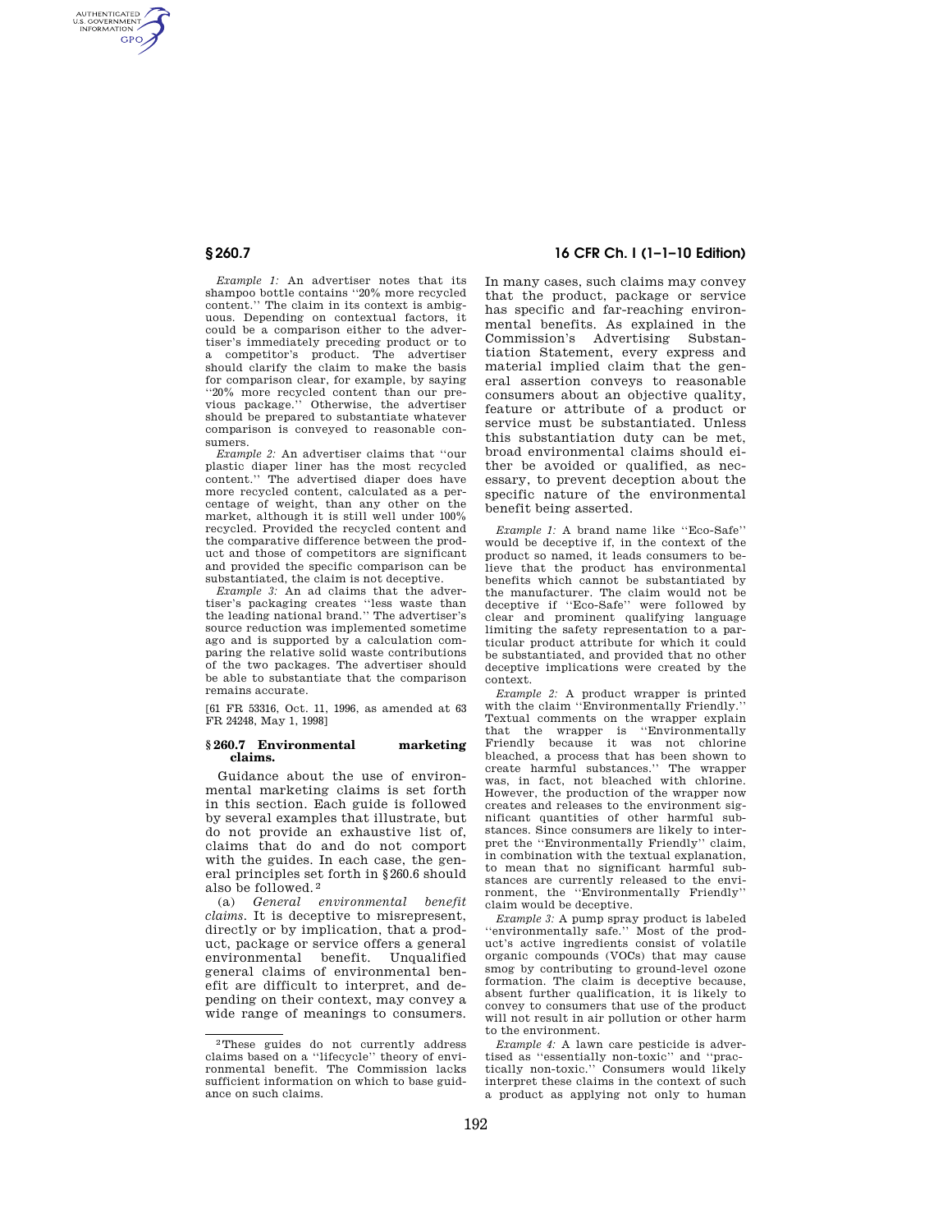AUTHENTICATED<br>U.S. GOVERNMENT<br>INFORMATION **GPO** 

> *Example 1:* An advertiser notes that its shampoo bottle contains ''20% more recycled content.'' The claim in its context is ambiguous. Depending on contextual factors, it could be a comparison either to the advertiser's immediately preceding product or to a competitor's product. The advertiser should clarify the claim to make the basis for comparison clear, for example, by saying ''20% more recycled content than our previous package.'' Otherwise, the advertiser should be prepared to substantiate whatever comparison is conveyed to reasonable consumers.

> *Example 2:* An advertiser claims that ''our plastic diaper liner has the most recycled content.'' The advertised diaper does have more recycled content, calculated as a percentage of weight, than any other on the market, although it is still well under 100% recycled. Provided the recycled content and the comparative difference between the product and those of competitors are significant and provided the specific comparison can be substantiated, the claim is not deceptive.

> *Example 3:* An ad claims that the advertiser's packaging creates ''less waste than the leading national brand.'' The advertiser's source reduction was implemented sometime ago and is supported by a calculation comparing the relative solid waste contributions of the two packages. The advertiser should be able to substantiate that the comparison remains accurate.

> [61 FR 53316, Oct. 11, 1996, as amended at 63 FR 24248, May 1, 1998]

#### **§ 260.7 Environmental marketing claims.**

Guidance about the use of environmental marketing claims is set forth in this section. Each guide is followed by several examples that illustrate, but do not provide an exhaustive list of, claims that do and do not comport with the guides. In each case, the general principles set forth in §260.6 should also be followed. 2

(a) *General environmental benefit claims.* It is deceptive to misrepresent, directly or by implication, that a product, package or service offers a general environmental benefit. Unqualified general claims of environmental benefit are difficult to interpret, and depending on their context, may convey a wide range of meanings to consumers.

# **§ 260.7 16 CFR Ch. I (1–1–10 Edition)**

In many cases, such claims may convey that the product, package or service has specific and far-reaching environmental benefits. As explained in the Commission's Advertising Substantiation Statement, every express and material implied claim that the general assertion conveys to reasonable consumers about an objective quality, feature or attribute of a product or service must be substantiated. Unless this substantiation duty can be met, broad environmental claims should either be avoided or qualified, as necessary, to prevent deception about the specific nature of the environmental benefit being asserted.

*Example 1:* A brand name like ''Eco-Safe'' would be deceptive if, in the context of the product so named, it leads consumers to believe that the product has environmental benefits which cannot be substantiated by the manufacturer. The claim would not be deceptive if ''Eco-Safe'' were followed by clear and prominent qualifying language limiting the safety representation to a particular product attribute for which it could be substantiated, and provided that no other deceptive implications were created by the context.

*Example 2:* A product wrapper is printed with the claim ''Environmentally Friendly.'' Textual comments on the wrapper explain that the wrapper is ''Environmentally Friendly because it was not chlorine bleached, a process that has been shown to create harmful substances.'' The wrapper was, in fact, not bleached with chlorine. However, the production of the wrapper now creates and releases to the environment significant quantities of other harmful substances. Since consumers are likely to interpret the ''Environmentally Friendly'' claim, in combination with the textual explanation, to mean that no significant harmful substances are currently released to the environment, the ''Environmentally Friendly'' claim would be deceptive.

*Example 3:* A pump spray product is labeled ''environmentally safe.'' Most of the product's active ingredients consist of volatile organic compounds (VOCs) that may cause smog by contributing to ground-level ozone formation. The claim is deceptive because, absent further qualification, it is likely to convey to consumers that use of the product will not result in air pollution or other harm to the environment.

*Example 4:* A lawn care pesticide is advertised as ''essentially non-toxic'' and ''practically non-toxic.'' Consumers would likely interpret these claims in the context of such a product as applying not only to human

<sup>2</sup>These guides do not currently address claims based on a ''lifecycle'' theory of environmental benefit. The Commission lacks sufficient information on which to base guidance on such claims.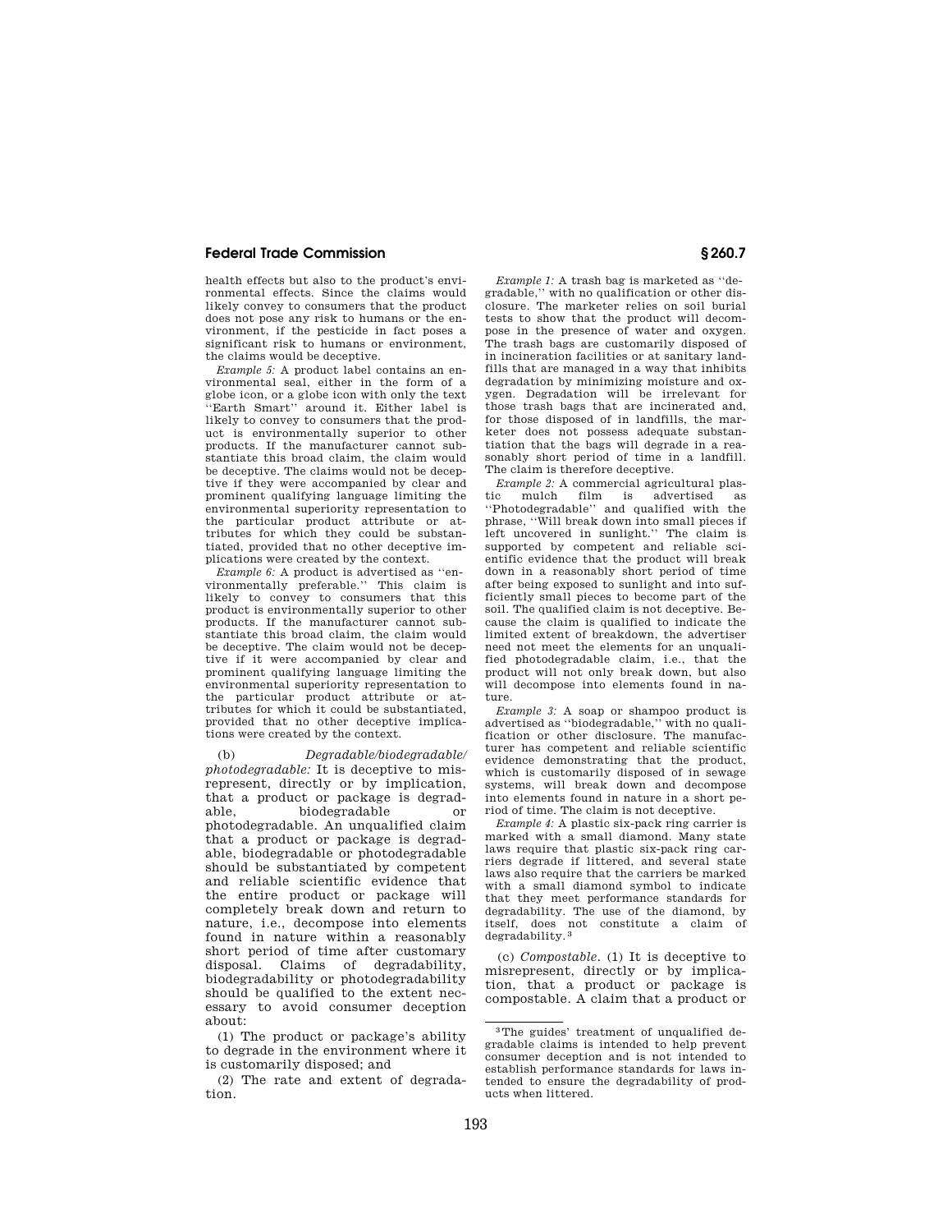health effects but also to the product's environmental effects. Since the claims would likely convey to consumers that the product does not pose any risk to humans or the environment, if the pesticide in fact poses a significant risk to humans or environment, the claims would be deceptive.

*Example 5:* A product label contains an environmental seal, either in the form of a globe icon, or a globe icon with only the text ''Earth Smart'' around it. Either label is likely to convey to consumers that the product is environmentally superior to other products. If the manufacturer cannot substantiate this broad claim, the claim would be deceptive. The claims would not be deceptive if they were accompanied by clear and prominent qualifying language limiting the environmental superiority representation to the particular product attribute or attributes for which they could be substantiated, provided that no other deceptive implications were created by the context.

*Example 6:* A product is advertised as ''environmentally preferable.'' This claim is likely to convey to consumers that this product is environmentally superior to other products. If the manufacturer cannot substantiate this broad claim, the claim would be deceptive. The claim would not be deceptive if it were accompanied by clear and prominent qualifying language limiting the environmental superiority representation to the particular product attribute or attributes for which it could be substantiated, provided that no other deceptive implications were created by the context.

(b) *Degradable/biodegradable/ photodegradable:* It is deceptive to misrepresent, directly or by implication, that a product or package is degradable, biodegradable or photodegradable. An unqualified claim that a product or package is degradable, biodegradable or photodegradable should be substantiated by competent and reliable scientific evidence that the entire product or package will completely break down and return to nature, i.e., decompose into elements found in nature within a reasonably short period of time after customary disposal. Claims of degradability, biodegradability or photodegradability should be qualified to the extent necessary to avoid consumer deception about:

(1) The product or package's ability to degrade in the environment where it is customarily disposed; and

(2) The rate and extent of degradation.

*Example 1:* A trash bag is marketed as "degradable," with no qualification or other disclosure. The marketer relies on soil burial tests to show that the product will decompose in the presence of water and oxygen. The trash bags are customarily disposed of in incineration facilities or at sanitary landfills that are managed in a way that inhibits degradation by minimizing moisture and oxygen. Degradation will be irrelevant for those trash bags that are incinerated and, for those disposed of in landfills, the marketer does not possess adequate substantiation that the bags will degrade in a reasonably short period of time in a landfill. The claim is therefore deceptive.

*Example 2:* A commercial agricultural plastic mulch film is advertised as ''Photodegradable'' and qualified with the phrase, ''Will break down into small pieces if left uncovered in sunlight.'' The claim is supported by competent and reliable scientific evidence that the product will break down in a reasonably short period of time after being exposed to sunlight and into sufficiently small pieces to become part of the soil. The qualified claim is not deceptive. Because the claim is qualified to indicate the limited extent of breakdown, the advertiser need not meet the elements for an unqualified photodegradable claim, i.e., that the product will not only break down, but also will decompose into elements found in nature.

*Example 3:* A soap or shampoo product is advertised as ''biodegradable,'' with no qualification or other disclosure. The manufacturer has competent and reliable scientific evidence demonstrating that the product, which is customarily disposed of in sewage systems, will break down and decompose into elements found in nature in a short period of time. The claim is not deceptive.

*Example 4:* A plastic six-pack ring carrier is marked with a small diamond. Many state laws require that plastic six-pack ring carriers degrade if littered, and several state laws also require that the carriers be marked with a small diamond symbol to indicate that they meet performance standards for degradability. The use of the diamond, by itself, does not constitute a claim of degradability. 3

(c) *Compostable.* (1) It is deceptive to misrepresent, directly or by implication, that a product or package is compostable. A claim that a product or

<sup>&</sup>lt;sup>3</sup>The guides' treatment of unqualified degradable claims is intended to help prevent consumer deception and is not intended to establish performance standards for laws intended to ensure the degradability of products when littered.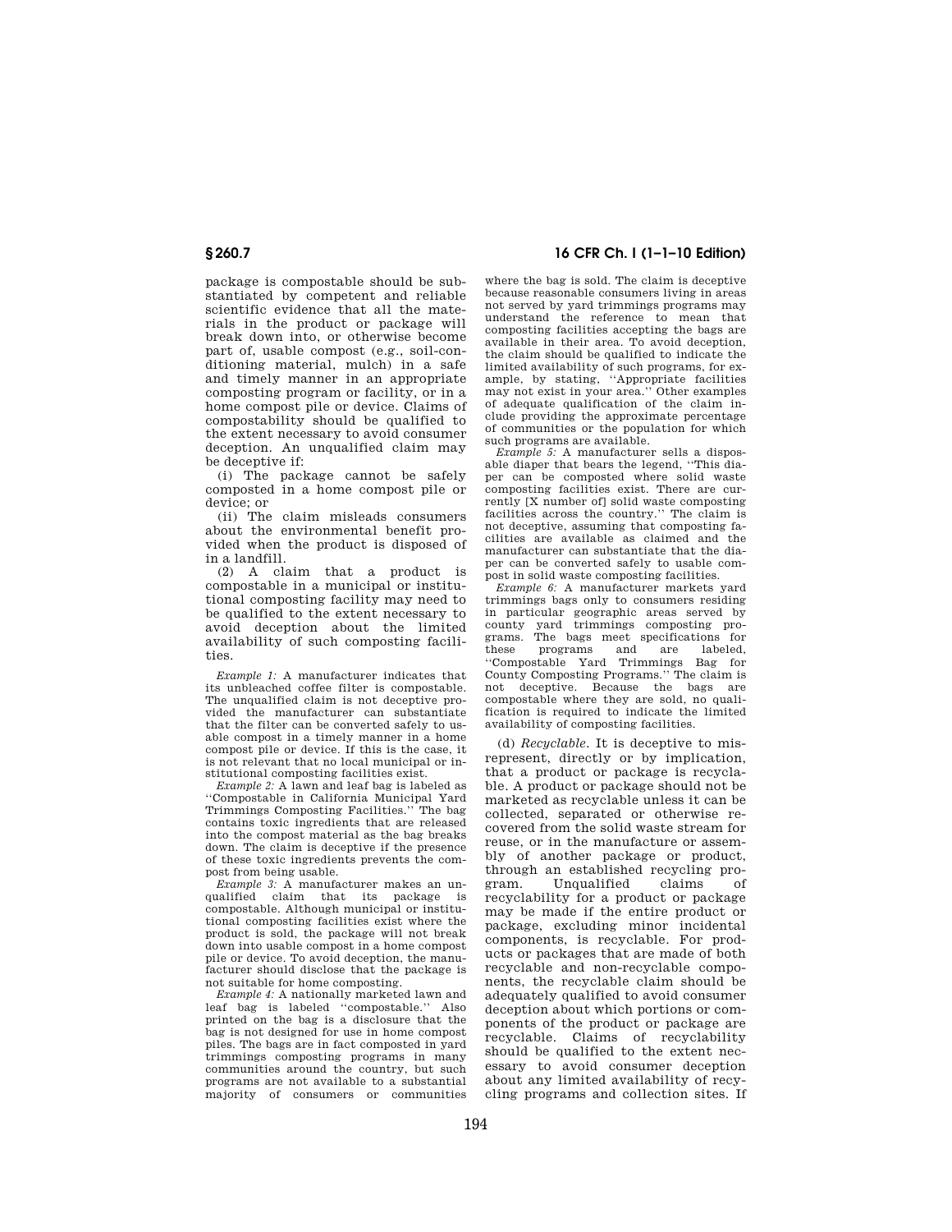package is compostable should be substantiated by competent and reliable scientific evidence that all the materials in the product or package will break down into, or otherwise become part of, usable compost (e.g., soil-conditioning material, mulch) in a safe and timely manner in an appropriate composting program or facility, or in a home compost pile or device. Claims of compostability should be qualified to the extent necessary to avoid consumer deception. An unqualified claim may be deceptive if:

(i) The package cannot be safely composted in a home compost pile or device; or

(ii) The claim misleads consumers about the environmental benefit provided when the product is disposed of in a landfill.

(2) A claim that a product is compostable in a municipal or institutional composting facility may need to be qualified to the extent necessary to avoid deception about the limited availability of such composting facilities.

*Example 1:* A manufacturer indicates that its unbleached coffee filter is compostable. The unqualified claim is not deceptive provided the manufacturer can substantiate that the filter can be converted safely to usable compost in a timely manner in a home compost pile or device. If this is the case, it is not relevant that no local municipal or institutional composting facilities exist.

*Example 2:* A lawn and leaf bag is labeled as ''Compostable in California Municipal Yard Trimmings Composting Facilities.'' The bag contains toxic ingredients that are released into the compost material as the bag breaks down. The claim is deceptive if the presence of these toxic ingredients prevents the compost from being usable.

*Example 3:* A manufacturer makes an unqualified claim that its package is compostable. Although municipal or institutional composting facilities exist where the product is sold, the package will not break down into usable compost in a home compost pile or device. To avoid deception, the manufacturer should disclose that the package is not suitable for home composting.

*Example 4:* A nationally marketed lawn and leaf bag is labeled ''compostable.'' Also printed on the bag is a disclosure that the bag is not designed for use in home compost piles. The bags are in fact composted in yard trimmings composting programs in many communities around the country, but such programs are not available to a substantial majority of consumers or communities

# **§ 260.7 16 CFR Ch. I (1–1–10 Edition)**

where the bag is sold. The claim is deceptive because reasonable consumers living in areas not served by yard trimmings programs may understand the reference to mean that composting facilities accepting the bags are available in their area. To avoid deception, the claim should be qualified to indicate the limited availability of such programs, for example, by stating, ''Appropriate facilities may not exist in your area.'' Other examples of adequate qualification of the claim include providing the approximate percentage of communities or the population for which such programs are available.

*Example 5:* A manufacturer sells a disposable diaper that bears the legend, ''This diaper can be composted where solid waste composting facilities exist. There are currently [X number of] solid waste composting facilities across the country.'' The claim is not deceptive, assuming that composting facilities are available as claimed and the manufacturer can substantiate that the diaper can be converted safely to usable compost in solid waste composting facilities.

*Example 6:* A manufacturer markets yard trimmings bags only to consumers residing in particular geographic areas served by county yard trimmings composting programs. The bags meet specifications for these programs and are labeled, ''Compostable Yard Trimmings Bag for County Composting Programs.'' The claim is not deceptive. Because the bags are compostable where they are sold, no qualification is required to indicate the limited availability of composting facilities.

(d) *Recyclable.* It is deceptive to misrepresent, directly or by implication, that a product or package is recyclable. A product or package should not be marketed as recyclable unless it can be collected, separated or otherwise recovered from the solid waste stream for reuse, or in the manufacture or assembly of another package or product, through an established recycling program. Unqualified claims of recyclability for a product or package may be made if the entire product or package, excluding minor incidental components, is recyclable. For products or packages that are made of both recyclable and non-recyclable components, the recyclable claim should be adequately qualified to avoid consumer deception about which portions or components of the product or package are recyclable. Claims of recyclability should be qualified to the extent necessary to avoid consumer deception about any limited availability of recycling programs and collection sites. If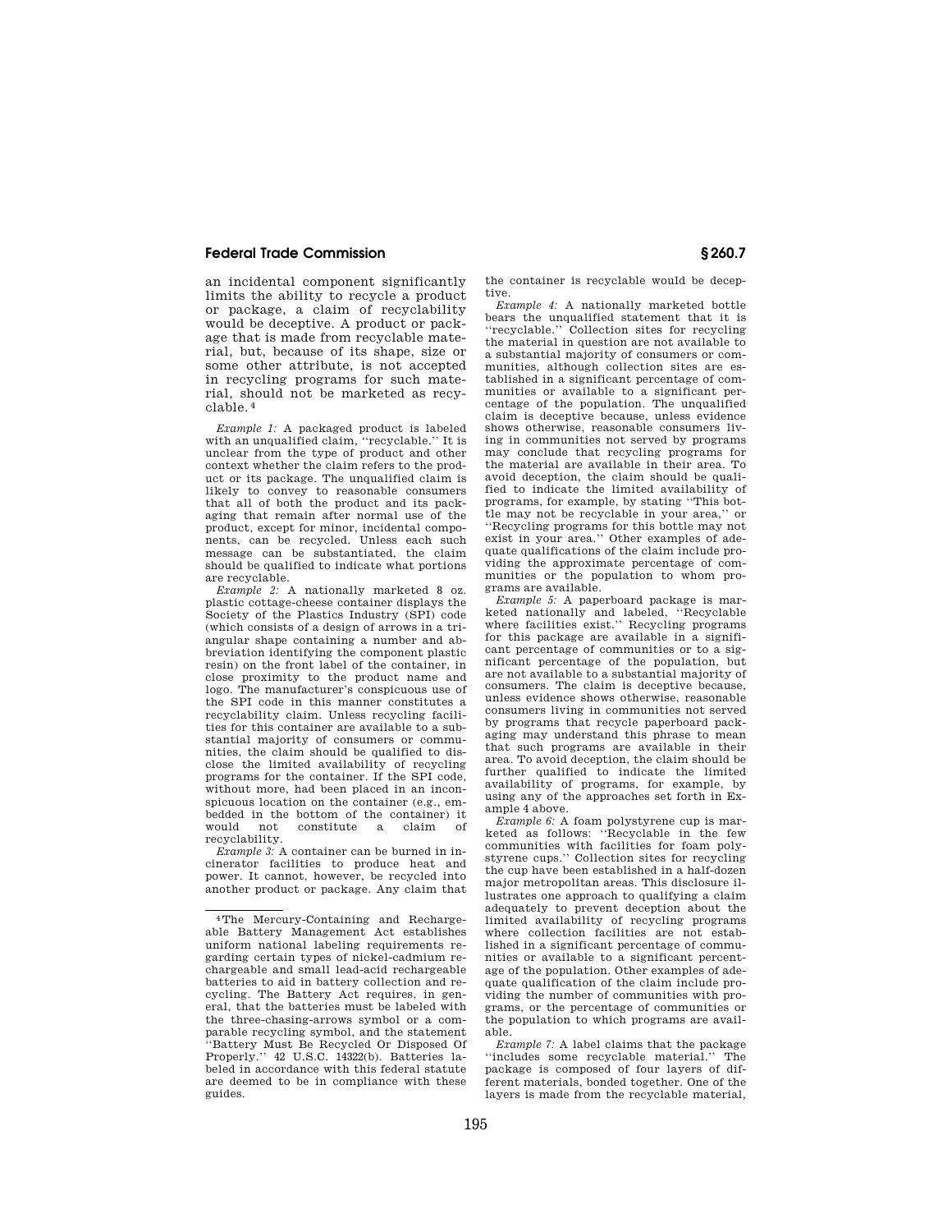an incidental component significantly limits the ability to recycle a product or package, a claim of recyclability would be deceptive. A product or package that is made from recyclable material, but, because of its shape, size or some other attribute, is not accepted in recycling programs for such material, should not be marketed as recyclable. 4

*Example 1:* A packaged product is labeled with an unqualified claim, ''recyclable.'' It is unclear from the type of product and other context whether the claim refers to the product or its package. The unqualified claim is likely to convey to reasonable consumers that all of both the product and its packaging that remain after normal use of the product, except for minor, incidental components, can be recycled. Unless each such message can be substantiated, the claim should be qualified to indicate what portions are recyclable.

*Example 2:* A nationally marketed 8 oz. plastic cottage-cheese container displays the Society of the Plastics Industry (SPI) code (which consists of a design of arrows in a triangular shape containing a number and abbreviation identifying the component plastic resin) on the front label of the container, in close proximity to the product name and logo. The manufacturer's conspicuous use of the SPI code in this manner constitutes a recyclability claim. Unless recycling facilities for this container are available to a substantial majority of consumers or communities, the claim should be qualified to disclose the limited availability of recycling programs for the container. If the SPI code, without more, had been placed in an inconspicuous location on the container (e.g., embedded in the bottom of the container) it would not constitute a claim of recyclability.

*Example 3:* A container can be burned in incinerator facilities to produce heat and power. It cannot, however, be recycled into another product or package. Any claim that

the container is recyclable would be deceptive.

*Example 4:* A nationally marketed bottle bears the unqualified statement that it is ''recyclable.'' Collection sites for recycling the material in question are not available to a substantial majority of consumers or communities, although collection sites are established in a significant percentage of communities or available to a significant per-centage of the population. The unqualified claim is deceptive because, unless evidence shows otherwise, reasonable consumers living in communities not served by programs may conclude that recycling programs for the material are available in their area. To avoid deception, the claim should be qualified to indicate the limited availability of programs, for example, by stating ''This bottle may not be recyclable in your area,'' or ''Recycling programs for this bottle may not exist in your area.'' Other examples of adequate qualifications of the claim include providing the approximate percentage of communities or the population to whom programs are available.

*Example 5:* A paperboard package is marketed nationally and labeled, ''Recyclable where facilities exist.'' Recycling programs for this package are available in a significant percentage of communities or to a significant percentage of the population, but are not available to a substantial majority of consumers. The claim is deceptive because, unless evidence shows otherwise, reasonable consumers living in communities not served by programs that recycle paperboard packaging may understand this phrase to mean that such programs are available in their area. To avoid deception, the claim should be further qualified to indicate the limited availability of programs, for example, by using any of the approaches set forth in Example 4 above.

*Example 6:* A foam polystyrene cup is marketed as follows: ''Recyclable in the few communities with facilities for foam polystyrene cups.'' Collection sites for recycling the cup have been established in a half-dozen major metropolitan areas. This disclosure illustrates one approach to qualifying a claim adequately to prevent deception about the limited availability of recycling programs where collection facilities are not established in a significant percentage of communities or available to a significant percentage of the population. Other examples of adequate qualification of the claim include providing the number of communities with programs, or the percentage of communities or the population to which programs are available.

<sup>4</sup>The Mercury-Containing and Rechargeable Battery Management Act establishes uniform national labeling requirements regarding certain types of nickel-cadmium rechargeable and small lead-acid rechargeable batteries to aid in battery collection and recycling. The Battery Act requires, in general, that the batteries must be labeled with the three-chasing-arrows symbol or a comparable recycling symbol, and the statement ''Battery Must Be Recycled Or Disposed Of Properly.'' 42 U.S.C. 14322(b). Batteries labeled in accordance with this federal statute are deemed to be in compliance with these guides.

*Example 7:* A label claims that the package 'includes some recyclable material." The package is composed of four layers of different materials, bonded together. One of the layers is made from the recyclable material,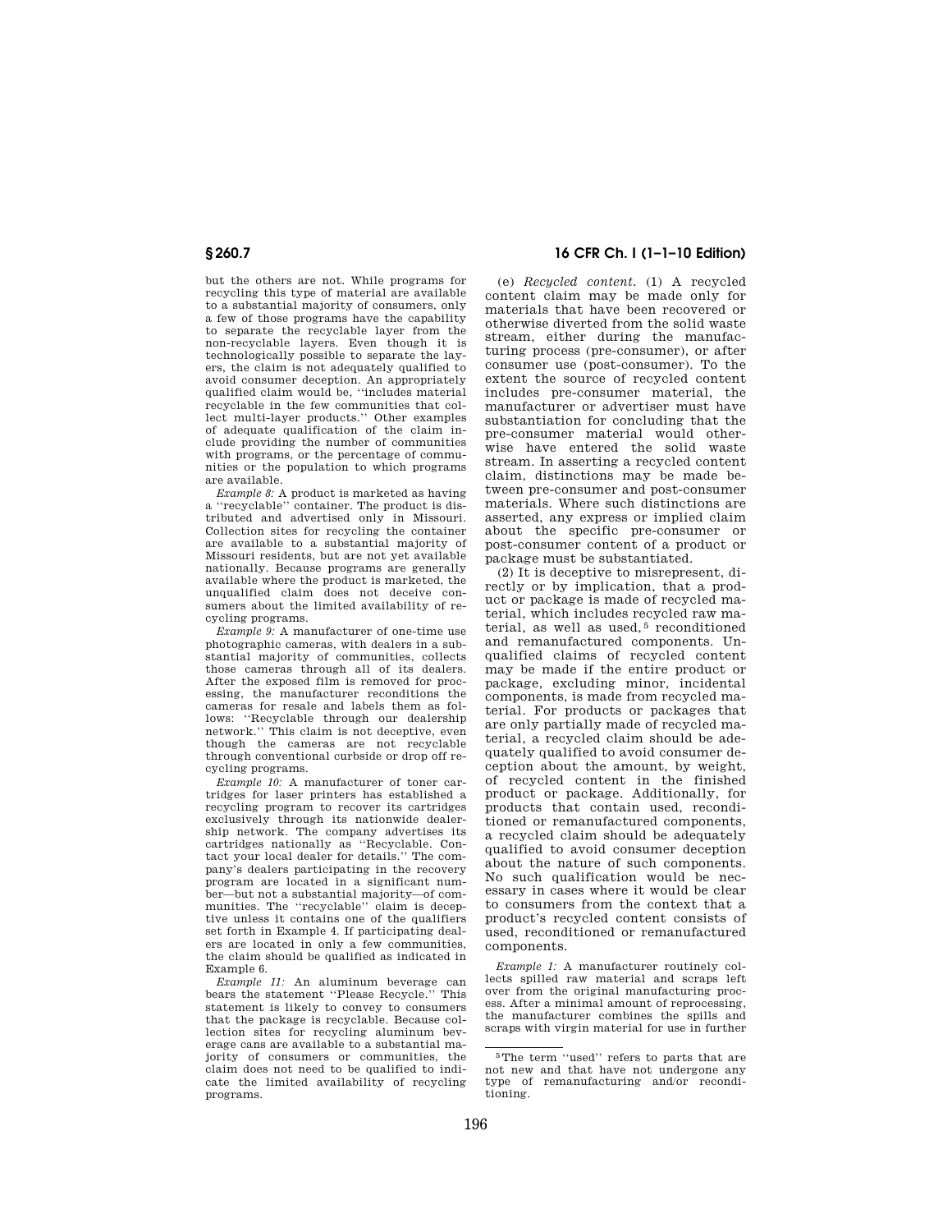but the others are not. While programs for recycling this type of material are available to a substantial majority of consumers, only a few of those programs have the capability to separate the recyclable layer from the non-recyclable layers. Even though it is technologically possible to separate the layers, the claim is not adequately qualified to avoid consumer deception. An appropriately qualified claim would be, ''includes material recyclable in the few communities that collect multi-layer products.'' Other examples of adequate qualification of the claim include providing the number of communities with programs, or the percentage of communities or the population to which programs are available.

*Example 8:* A product is marketed as having a ''recyclable'' container. The product is distributed and advertised only in Missouri. Collection sites for recycling the container are available to a substantial majority of Missouri residents, but are not yet available nationally. Because programs are generally available where the product is marketed, the unqualified claim does not deceive consumers about the limited availability of recycling programs.

*Example 9:* A manufacturer of one-time use photographic cameras, with dealers in a substantial majority of communities, collects those cameras through all of its dealers. After the exposed film is removed for processing, the manufacturer reconditions the cameras for resale and labels them as follows: ''Recyclable through our dealership network.'' This claim is not deceptive, even though the cameras are not recyclable through conventional curbside or drop off recycling programs.

*Example 10:* A manufacturer of toner cartridges for laser printers has established a recycling program to recover its cartridges exclusively through its nationwide dealership network. The company advertises its cartridges nationally as ''Recyclable. Contact your local dealer for details.'' The company's dealers participating in the recovery program are located in a significant number—but not a substantial majority—of communities. The ''recyclable'' claim is deceptive unless it contains one of the qualifiers set forth in Example 4. If participating dealers are located in only a few communities, the claim should be qualified as indicated in Example 6.

*Example 11:* An aluminum beverage can bears the statement ''Please Recycle.'' This statement is likely to convey to consumers that the package is recyclable. Because collection sites for recycling aluminum beverage cans are available to a substantial majority of consumers or communities, the claim does not need to be qualified to indicate the limited availability of recycling programs.

## **§ 260.7 16 CFR Ch. I (1–1–10 Edition)**

(e) *Recycled content.* (1) A recycled content claim may be made only for materials that have been recovered or otherwise diverted from the solid waste stream, either during the manufacturing process (pre-consumer), or after consumer use (post-consumer). To the extent the source of recycled content includes pre-consumer material, the manufacturer or advertiser must have substantiation for concluding that the pre-consumer material would otherwise have entered the solid waste stream. In asserting a recycled content claim, distinctions may be made between pre-consumer and post-consumer materials. Where such distinctions are asserted, any express or implied claim about the specific pre-consumer or post-consumer content of a product or package must be substantiated.

(2) It is deceptive to misrepresent, directly or by implication, that a product or package is made of recycled material, which includes recycled raw material, as well as used.<sup>5</sup> reconditioned and remanufactured components. Unqualified claims of recycled content may be made if the entire product or package, excluding minor, incidental components, is made from recycled material. For products or packages that are only partially made of recycled material, a recycled claim should be adequately qualified to avoid consumer deception about the amount, by weight, of recycled content in the finished product or package. Additionally, for products that contain used, reconditioned or remanufactured components, a recycled claim should be adequately qualified to avoid consumer deception about the nature of such components. No such qualification would be necessary in cases where it would be clear to consumers from the context that a product's recycled content consists of used, reconditioned or remanufactured components.

*Example 1:* A manufacturer routinely collects spilled raw material and scraps left over from the original manufacturing process. After a minimal amount of reprocessing, the manufacturer combines the spills and scraps with virgin material for use in further

 $5$ The term "used" refers to parts that are not new and that have not undergone any type of remanufacturing and/or reconditioning.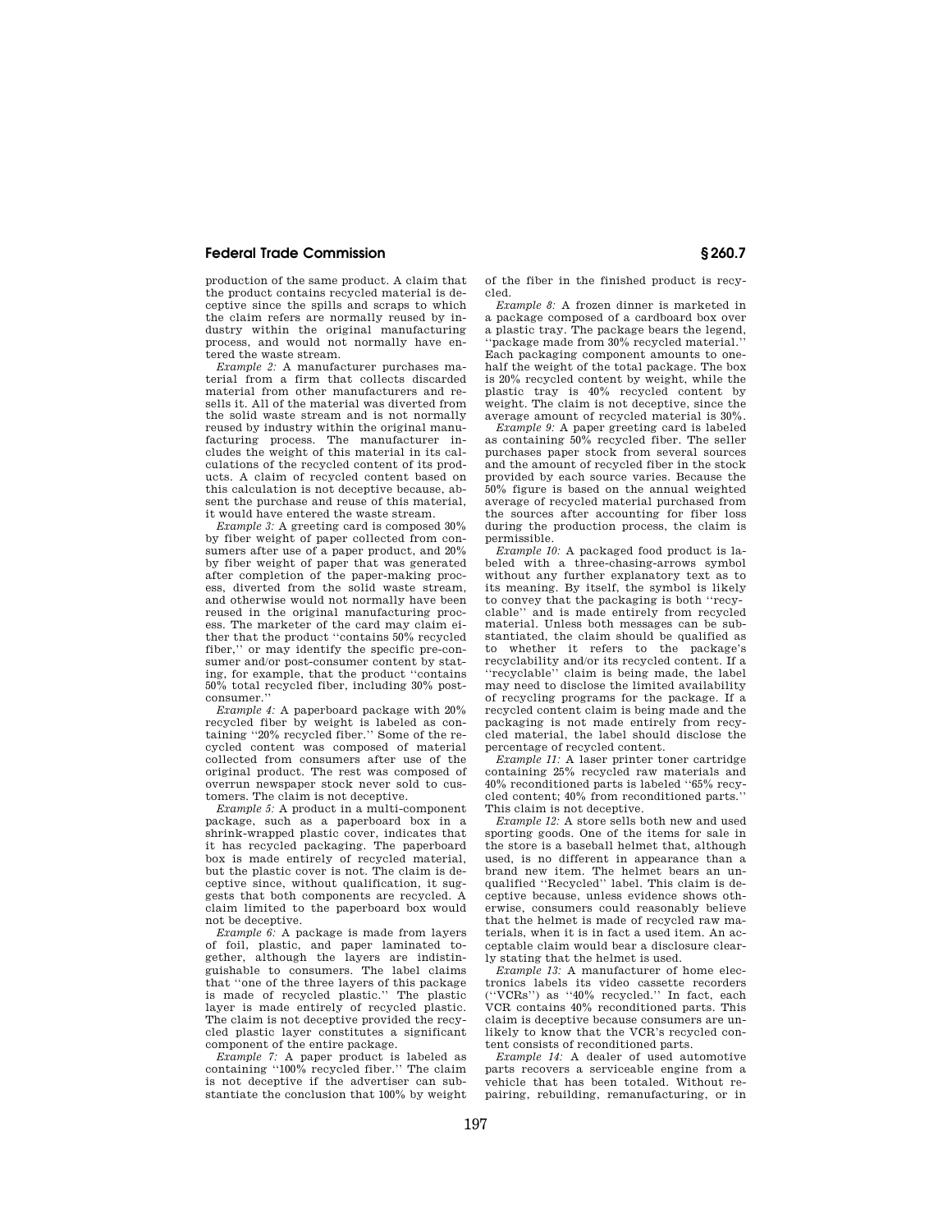production of the same product. A claim that the product contains recycled material is deceptive since the spills and scraps to which the claim refers are normally reused by industry within the original manufacturing process, and would not normally have entered the waste stream.

*Example 2:* A manufacturer purchases material from a firm that collects discarded material from other manufacturers and resells it. All of the material was diverted from the solid waste stream and is not normally reused by industry within the original manufacturing process. The manufacturer includes the weight of this material in its calculations of the recycled content of its products. A claim of recycled content based on this calculation is not deceptive because, absent the purchase and reuse of this material, it would have entered the waste stream.

*Example 3:* A greeting card is composed 30% by fiber weight of paper collected from consumers after use of a paper product, and 20% by fiber weight of paper that was generated after completion of the paper-making process, diverted from the solid waste stream, and otherwise would not normally have been reused in the original manufacturing process. The marketer of the card may claim either that the product ''contains 50% recycled fiber,'' or may identify the specific pre-consumer and/or post-consumer content by stating, for example, that the product ''contains 50% total recycled fiber, including 30% postconsumer.''

*Example 4:* A paperboard package with 20% recycled fiber by weight is labeled as con-taining ''20% recycled fiber.'' Some of the recycled content was composed of material collected from consumers after use of the original product. The rest was composed of overrun newspaper stock never sold to customers. The claim is not deceptive.

*Example 5:* A product in a multi-component package, such as a paperboard box in a shrink-wrapped plastic cover, indicates that it has recycled packaging. The paperboard box is made entirely of recycled material, but the plastic cover is not. The claim is deceptive since, without qualification, it suggests that both components are recycled. A claim limited to the paperboard box would not be deceptive.

*Example 6:* A package is made from layers of foil, plastic, and paper laminated together, although the layers are indistinguishable to consumers. The label claims that ''one of the three layers of this package is made of recycled plastic.'' The plastic layer is made entirely of recycled plastic. The claim is not deceptive provided the recycled plastic layer constitutes a significant component of the entire package.

*Example 7:* A paper product is labeled as containing ''100% recycled fiber.'' The claim is not deceptive if the advertiser can substantiate the conclusion that 100% by weight of the fiber in the finished product is recycled.

*Example 8:* A frozen dinner is marketed in a package composed of a cardboard box over a plastic tray. The package bears the legend, 'package made from 30% recycled material.' Each packaging component amounts to onehalf the weight of the total package. The box is 20% recycled content by weight, while the plastic tray is 40% recycled content by weight. The claim is not deceptive, since the average amount of recycled material is 30%.

*Example 9:* A paper greeting card is labeled as containing 50% recycled fiber. The seller purchases paper stock from several sources and the amount of recycled fiber in the stock provided by each source varies. Because the 50% figure is based on the annual weighted average of recycled material purchased from the sources after accounting for fiber loss during the production process, the claim is permissible.

*Example 10:* A packaged food product is labeled with a three-chasing-arrows symbol without any further explanatory text as to its meaning. By itself, the symbol is likely to convey that the packaging is both ''recyclable'' and is made entirely from recycled material. Unless both messages can be substantiated, the claim should be qualified as to whether it refers to the package's recyclability and/or its recycled content. If a "recyclable" claim is being made, the label may need to disclose the limited availability of recycling programs for the package. If a recycled content claim is being made and the packaging is not made entirely from recycled material, the label should disclose the percentage of recycled content.

*Example 11:* A laser printer toner cartridge containing 25% recycled raw materials and 40% reconditioned parts is labeled ''65% recycled content; 40% from reconditioned parts.'' This claim is not deceptive.

*Example 12:* A store sells both new and used sporting goods. One of the items for sale in the store is a baseball helmet that, although used, is no different in appearance than a brand new item. The helmet bears an unqualified ''Recycled'' label. This claim is deceptive because, unless evidence shows otherwise, consumers could reasonably believe that the helmet is made of recycled raw materials, when it is in fact a used item. An acceptable claim would bear a disclosure clearly stating that the helmet is used.

*Example 13:* A manufacturer of home electronics labels its video cassette recorders (''VCRs'') as ''40% recycled.'' In fact, each VCR contains 40% reconditioned parts. This claim is deceptive because consumers are unlikely to know that the VCR's recycled content consists of reconditioned parts.

*Example 14:* A dealer of used automotive parts recovers a serviceable engine from a vehicle that has been totaled. Without repairing, rebuilding, remanufacturing, or in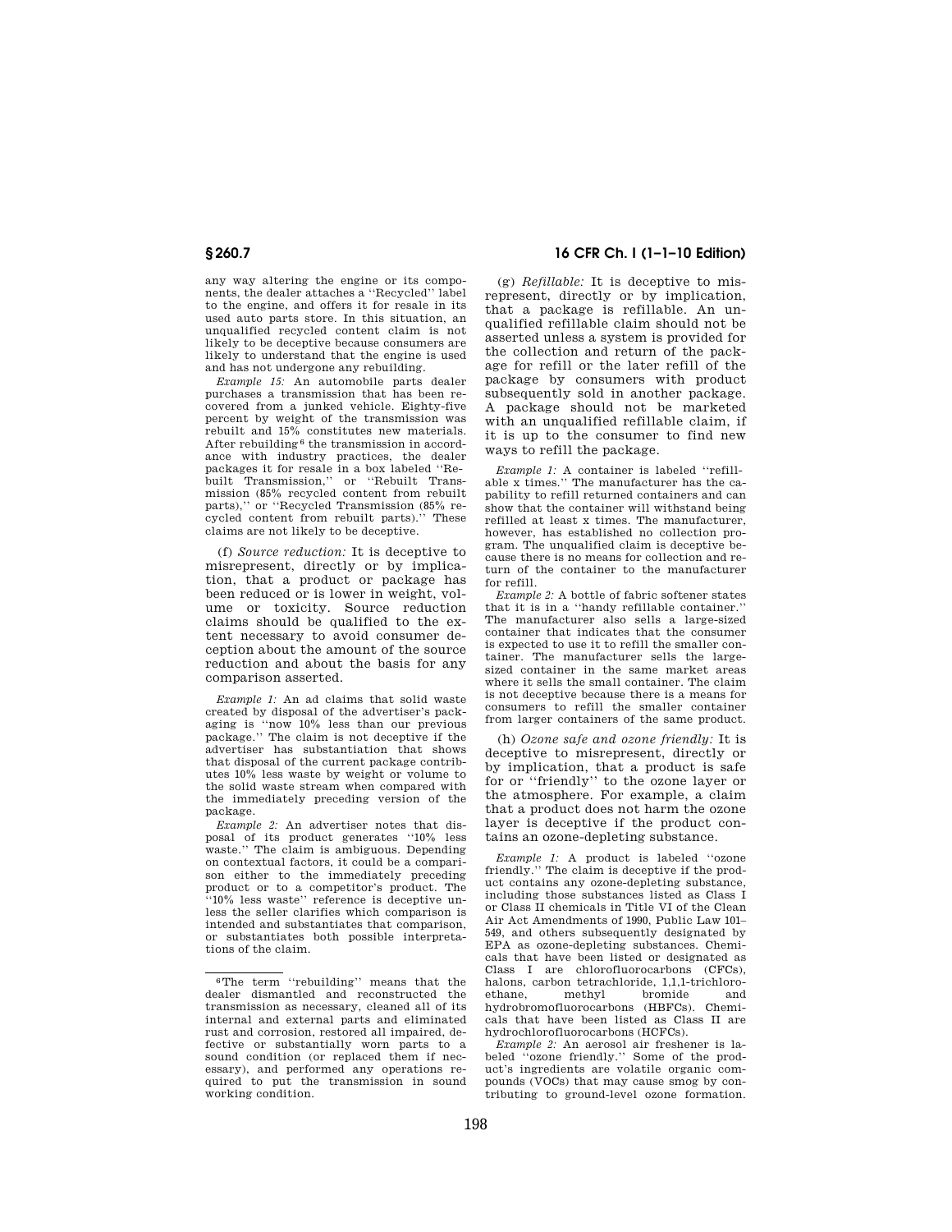any way altering the engine or its components, the dealer attaches a ''Recycled'' label to the engine, and offers it for resale in its used auto parts store. In this situation, an unqualified recycled content claim is not likely to be deceptive because consumers are likely to understand that the engine is used and has not undergone any rebuilding.

*Example 15:* An automobile parts dealer purchases a transmission that has been recovered from a junked vehicle. Eighty-five percent by weight of the transmission was rebuilt and 15% constitutes new materials. After rebuilding 6 the transmission in accordance with industry practices, the dealer packages it for resale in a box labeled ''Rebuilt Transmission,'' or ''Rebuilt Transmission (85% recycled content from rebuilt parts),'' or ''Recycled Transmission (85% recycled content from rebuilt parts).'' These claims are not likely to be deceptive.

(f) *Source reduction:* It is deceptive to misrepresent, directly or by implication, that a product or package has been reduced or is lower in weight, volume or toxicity. Source reduction claims should be qualified to the extent necessary to avoid consumer deception about the amount of the source reduction and about the basis for any comparison asserted.

*Example 1:* An ad claims that solid waste created by disposal of the advertiser's packaging is ''now 10% less than our previous package.'' The claim is not deceptive if the advertiser has substantiation that shows that disposal of the current package contributes 10% less waste by weight or volume to the solid waste stream when compared with the immediately preceding version of the package.

*Example 2:* An advertiser notes that disposal of its product generates ''10% less waste.'' The claim is ambiguous. Depending on contextual factors, it could be a comparison either to the immediately preceding product or to a competitor's product. The '10% less waste'' reference is deceptive unless the seller clarifies which comparison is intended and substantiates that comparison, or substantiates both possible interpretations of the claim.

## **§ 260.7 16 CFR Ch. I (1–1–10 Edition)**

(g) *Refillable:* It is deceptive to misrepresent, directly or by implication, that a package is refillable. An unqualified refillable claim should not be asserted unless a system is provided for the collection and return of the package for refill or the later refill of the package by consumers with product subsequently sold in another package. A package should not be marketed with an unqualified refillable claim, if it is up to the consumer to find new ways to refill the package.

*Example 1:* A container is labeled ''refill-able x times.'' The manufacturer has the capability to refill returned containers and can show that the container will withstand being refilled at least x times. The manufacturer, however, has established no collection program. The unqualified claim is deceptive because there is no means for collection and return of the container to the manufacturer for refill.

*Example 2:* A bottle of fabric softener states that it is in a ''handy refillable container.'' The manufacturer also sells a large-sized container that indicates that the consumer is expected to use it to refill the smaller container. The manufacturer sells the largesized container in the same market areas where it sells the small container. The claim is not deceptive because there is a means for consumers to refill the smaller container from larger containers of the same product.

(h) *Ozone safe and ozone friendly:* It is deceptive to misrepresent, directly or by implication, that a product is safe for or ''friendly'' to the ozone layer or the atmosphere. For example, a claim that a product does not harm the ozone layer is deceptive if the product contains an ozone-depleting substance.

*Example 1:* A product is labeled "ozone friendly." The claim is deceptive if the product contains any ozone-depleting substance, including those substances listed as Class I or Class II chemicals in Title VI of the Clean Air Act Amendments of 1990, Public Law 101– 549, and others subsequently designated by EPA as ozone-depleting substances. Chemicals that have been listed or designated as Class I are chlorofluorocarbons (CFCs), halons, carbon tetrachloride, 1,1,1-trichloro-<br>ethane, methyl bromide and ethane, methyl bromide hydrobromofluorocarbons (HBFCs). Chemicals that have been listed as Class II are hydrochlorofluorocarbons (HCFCs).

*Example 2:* An aerosol air freshener is labeled ''ozone friendly.'' Some of the product's ingredients are volatile organic compounds (VOCs) that may cause smog by contributing to ground-level ozone formation.

<sup>6</sup>The term ''rebuilding'' means that the dealer dismantled and reconstructed the transmission as necessary, cleaned all of its internal and external parts and eliminated rust and corrosion, restored all impaired, defective or substantially worn parts to a sound condition (or replaced them if necessary), and performed any operations required to put the transmission in sound working condition.